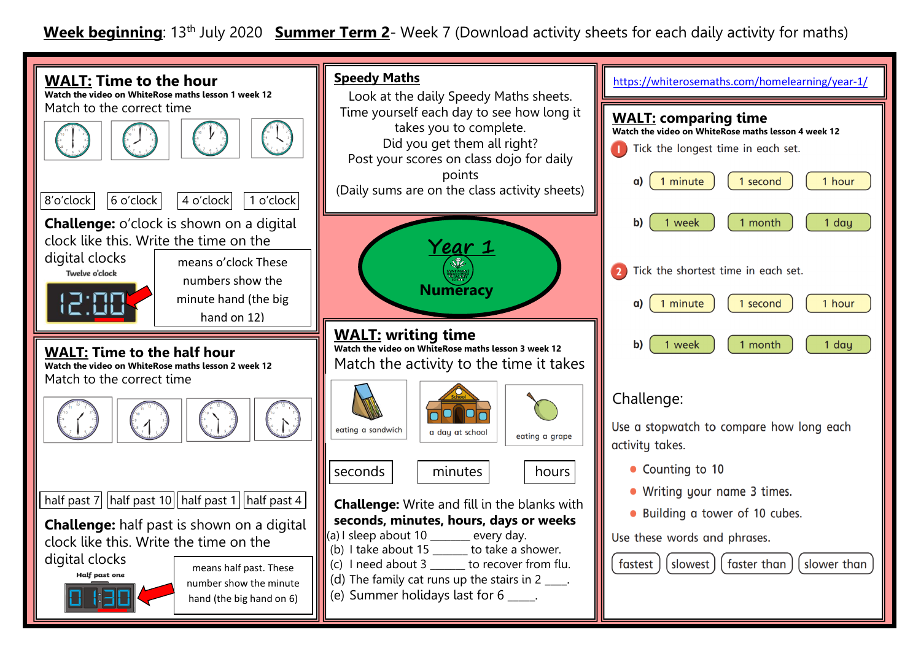**Week beginning**: 13th July 2020 **Summer Term 2**- Week 7 (Download activity sheets for each daily activity for maths)

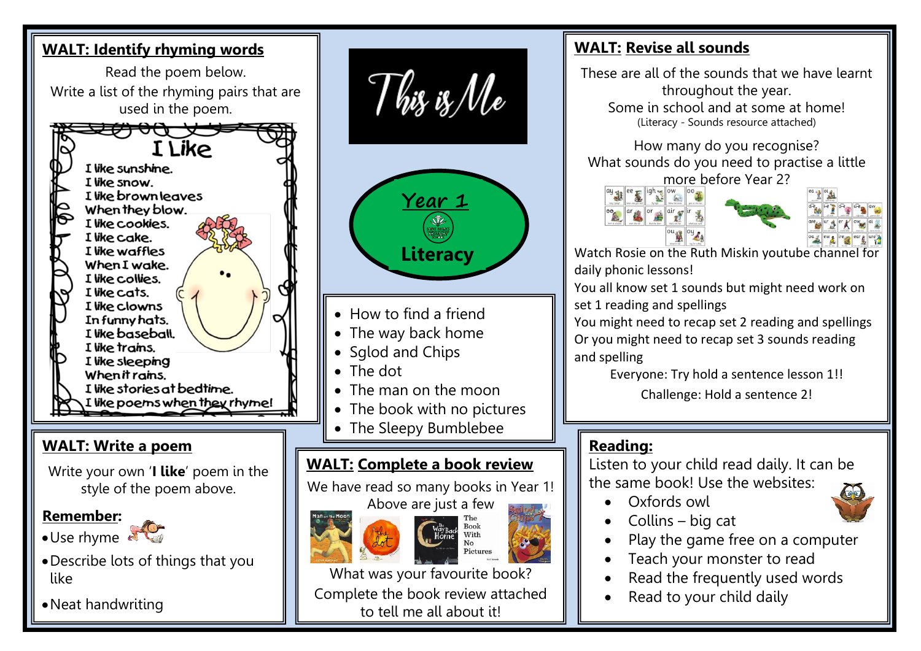

### **WALT: Revise all sounds**

These are all of the sounds that we have learnt throughout the year. Some in school and at some at home! (Literacy - Sounds resource attached)

How many do you recognise? What sounds do you need to practise a little more before Year 2?





Watch Rosie on the Ruth Miskin youtube channel for daily phonic lessons!

You all know set 1 sounds but might need work on set 1 reading and spellings

You might need to recap set 2 reading and spellings Or you might need to recap set 3 sounds reading and spelling

Everyone: Try hold a sentence lesson 1!!

Challenge: Hold a sentence 2!

## **Reading:**

Listen to your child read daily. It can be the same book! Use the websites:

- Oxfords owl
- Collins big cat
- Play the game free on a computer
- Teach your monster to read
- Read the frequently used words
- Read to your child daily